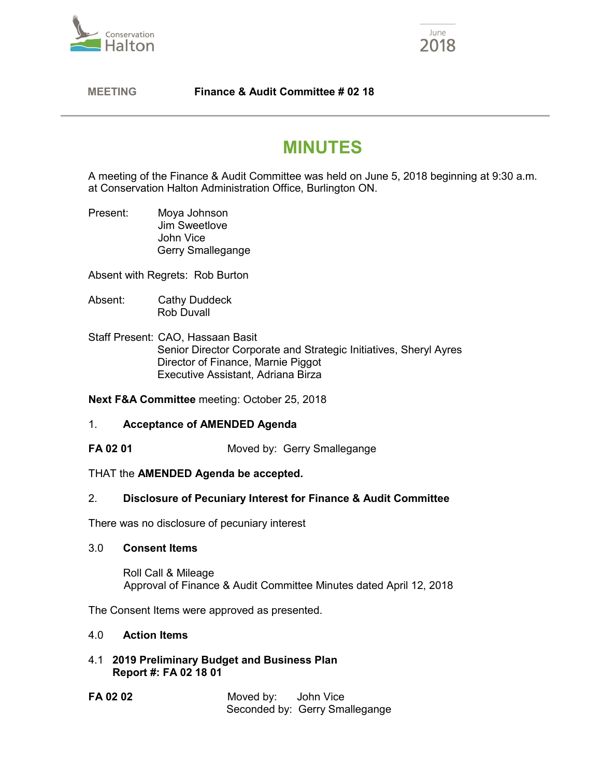



# **MEETING Finance & Audit Committee # 02 18**

# **MINUTES**

A meeting of the Finance & Audit Committee was held on June 5, 2018 beginning at 9:30 a.m. at Conservation Halton Administration Office, Burlington ON.

Present: Moya Johnson Jim Sweetlove John Vice Gerry Smallegange

Absent with Regrets: Rob Burton

- Absent: Cathy Duddeck Rob Duvall
- Staff Present: CAO, Hassaan Basit Senior Director Corporate and Strategic Initiatives, Sheryl Ayres Director of Finance, Marnie Piggot Executive Assistant, Adriana Birza

**Next F&A Committee** meeting: October 25, 2018

# 1. **Acceptance of AMENDED Agenda**

**FA 02 01** Moved by: Gerry Smallegange

#### THAT the **AMENDED Agenda be accepted.**

# 2. **Disclosure of Pecuniary Interest for Finance & Audit Committee**

There was no disclosure of pecuniary interest

#### 3.0 **Consent Items**

Roll Call & Mileage Approval of Finance & Audit Committee Minutes dated April 12, 2018

The Consent Items were approved as presented.

#### 4.0 **Action Items**

- 4.1 **2019 Preliminary Budget and Business Plan Report #: FA 02 18 01**
- **FA 02 02** Moved by: John Vice Seconded by: Gerry Smallegange